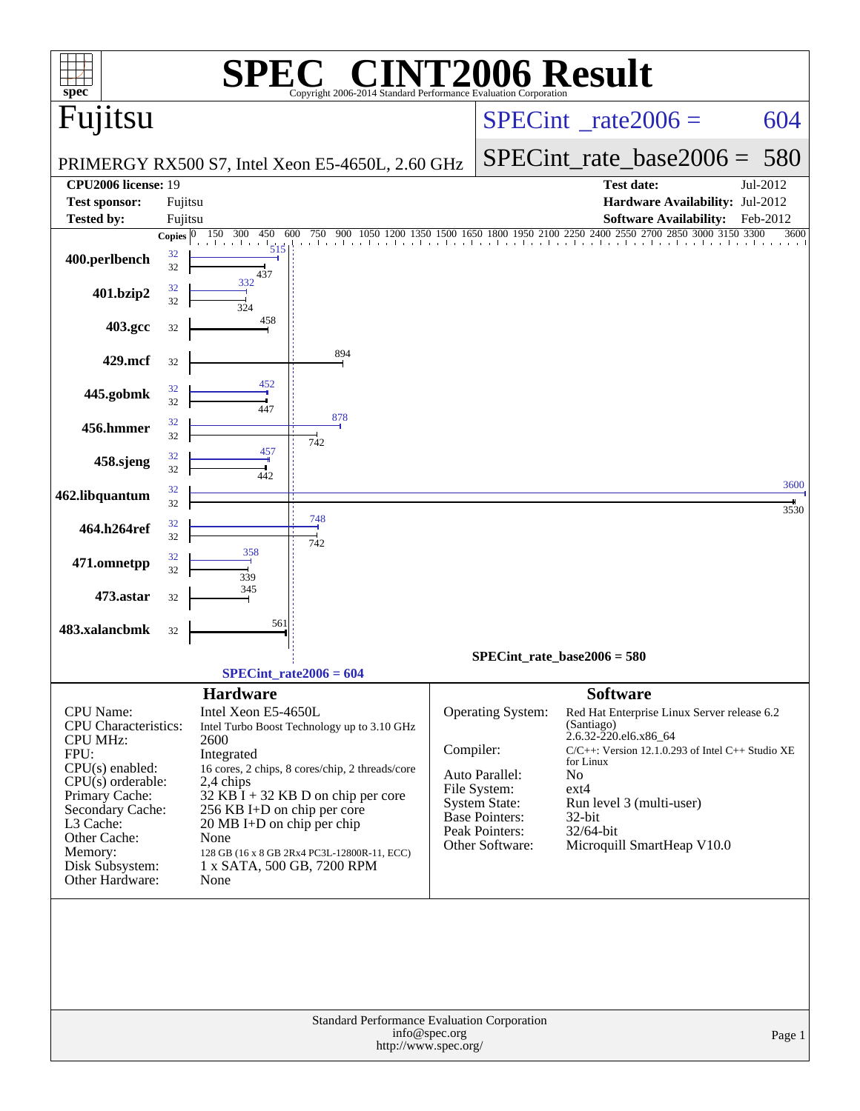| spec <sup>®</sup>                                                                                                                                                                                                                   |                    |                                                                                                                                                                                      | Copyright 2006-2014 Standard Performance Evaluation Corporation                                                                                                                       |               |                                                                                                                                    | <b>INT2006 Result</b>                                                                                                                                                                                                                                                            |          |
|-------------------------------------------------------------------------------------------------------------------------------------------------------------------------------------------------------------------------------------|--------------------|--------------------------------------------------------------------------------------------------------------------------------------------------------------------------------------|---------------------------------------------------------------------------------------------------------------------------------------------------------------------------------------|---------------|------------------------------------------------------------------------------------------------------------------------------------|----------------------------------------------------------------------------------------------------------------------------------------------------------------------------------------------------------------------------------------------------------------------------------|----------|
| Fujitsu                                                                                                                                                                                                                             |                    |                                                                                                                                                                                      |                                                                                                                                                                                       |               | $SPECint^{\circ}$ <sub>_rate2006</sub> =                                                                                           | 604                                                                                                                                                                                                                                                                              |          |
|                                                                                                                                                                                                                                     |                    |                                                                                                                                                                                      | PRIMERGY RX500 S7, Intel Xeon E5-4650L, 2.60 GHz                                                                                                                                      |               | $SPECint_rate_base2006 =$                                                                                                          | 580                                                                                                                                                                                                                                                                              |          |
| <b>CPU2006 license: 19</b>                                                                                                                                                                                                          |                    |                                                                                                                                                                                      |                                                                                                                                                                                       |               |                                                                                                                                    | <b>Test date:</b>                                                                                                                                                                                                                                                                | Jul-2012 |
| <b>Test sponsor:</b><br><b>Tested by:</b>                                                                                                                                                                                           | Fujitsu<br>Fujitsu |                                                                                                                                                                                      |                                                                                                                                                                                       |               |                                                                                                                                    | Hardware Availability: Jul-2012<br><b>Software Availability:</b>                                                                                                                                                                                                                 | Feb-2012 |
|                                                                                                                                                                                                                                     | <b>Copies</b>      | 150<br>300<br>450<br>600                                                                                                                                                             | 750<br>900                                                                                                                                                                            |               | The collected and the coll                                                                                                         | 1650 1800 1950 2100 2250 2400 2550 2700<br>2850 3000 3150 3300                                                                                                                                                                                                                   | 3600     |
| 400.perlbench                                                                                                                                                                                                                       | 32<br>32           | 515<br>437                                                                                                                                                                           |                                                                                                                                                                                       |               |                                                                                                                                    |                                                                                                                                                                                                                                                                                  |          |
| 401.bzip2                                                                                                                                                                                                                           | 32<br>32           | 332<br>324                                                                                                                                                                           |                                                                                                                                                                                       |               |                                                                                                                                    |                                                                                                                                                                                                                                                                                  |          |
| 403.gcc                                                                                                                                                                                                                             | 32                 | 458                                                                                                                                                                                  |                                                                                                                                                                                       |               |                                                                                                                                    |                                                                                                                                                                                                                                                                                  |          |
| 429.mcf                                                                                                                                                                                                                             | 32                 |                                                                                                                                                                                      | 894                                                                                                                                                                                   |               |                                                                                                                                    |                                                                                                                                                                                                                                                                                  |          |
| 445.gobmk                                                                                                                                                                                                                           | 32<br>32           | 452<br>447                                                                                                                                                                           |                                                                                                                                                                                       |               |                                                                                                                                    |                                                                                                                                                                                                                                                                                  |          |
| 456.hmmer                                                                                                                                                                                                                           | 32<br>32           |                                                                                                                                                                                      | 878                                                                                                                                                                                   |               |                                                                                                                                    |                                                                                                                                                                                                                                                                                  |          |
| 458.sjeng                                                                                                                                                                                                                           | 32<br>32           | 457                                                                                                                                                                                  | 742                                                                                                                                                                                   |               |                                                                                                                                    |                                                                                                                                                                                                                                                                                  |          |
| 462.libquantum                                                                                                                                                                                                                      | 32<br>32           | 442                                                                                                                                                                                  |                                                                                                                                                                                       |               |                                                                                                                                    |                                                                                                                                                                                                                                                                                  | 3600     |
| 464.h264ref                                                                                                                                                                                                                         | 32<br>32           |                                                                                                                                                                                      | 748                                                                                                                                                                                   |               |                                                                                                                                    |                                                                                                                                                                                                                                                                                  | 3530     |
| 471.omnetpp                                                                                                                                                                                                                         | 32<br>32           | 358                                                                                                                                                                                  | 742                                                                                                                                                                                   |               |                                                                                                                                    |                                                                                                                                                                                                                                                                                  |          |
| 473.astar                                                                                                                                                                                                                           | 32                 | 339<br>345                                                                                                                                                                           |                                                                                                                                                                                       |               |                                                                                                                                    |                                                                                                                                                                                                                                                                                  |          |
| 483.xalancbmk                                                                                                                                                                                                                       | 32                 | 561                                                                                                                                                                                  |                                                                                                                                                                                       |               |                                                                                                                                    |                                                                                                                                                                                                                                                                                  |          |
|                                                                                                                                                                                                                                     |                    |                                                                                                                                                                                      |                                                                                                                                                                                       |               |                                                                                                                                    | $SPECint_rate_base2006 = 580$                                                                                                                                                                                                                                                    |          |
|                                                                                                                                                                                                                                     |                    | $SPECint_rate2006 = 604$                                                                                                                                                             |                                                                                                                                                                                       |               |                                                                                                                                    |                                                                                                                                                                                                                                                                                  |          |
| <b>CPU</b> Name:<br>CPU Characteristics:<br><b>CPU MHz:</b><br>FPU:<br>$CPU(s)$ enabled:<br>$CPU(s)$ orderable:<br>Primary Cache:<br>Secondary Cache:<br>L3 Cache:<br>Other Cache:<br>Memory:<br>Disk Subsystem:<br>Other Hardware: |                    | <b>Hardware</b><br>Intel Xeon E5-4650L<br>2600<br>Integrated<br>2,4 chips<br>256 KB I+D on chip per core<br>20 MB I+D on chip per chip<br>None<br>1 x SATA, 500 GB, 7200 RPM<br>None | Intel Turbo Boost Technology up to 3.10 GHz<br>16 cores, 2 chips, 8 cores/chip, 2 threads/core<br>$32$ KB I + 32 KB D on chip per core<br>128 GB (16 x 8 GB 2Rx4 PC3L-12800R-11, ECC) | Compiler:     | Operating System:<br>Auto Parallel:<br>File System:<br><b>System State:</b><br>Base Pointers:<br>Peak Pointers:<br>Other Software: | <b>Software</b><br>Red Hat Enterprise Linux Server release 6.2<br>(Santiago)<br>2.6.32-220.el6.x86 64<br>C/C++: Version 12.1.0.293 of Intel C++ Studio XE<br>for Linux<br><b>No</b><br>$ext{4}$<br>Run level 3 (multi-user)<br>32-bit<br>32/64-bit<br>Microquill SmartHeap V10.0 |          |
|                                                                                                                                                                                                                                     |                    |                                                                                                                                                                                      | <b>Standard Performance Evaluation Corporation</b><br>http://www.spec.org/                                                                                                            | info@spec.org |                                                                                                                                    |                                                                                                                                                                                                                                                                                  | Page 1   |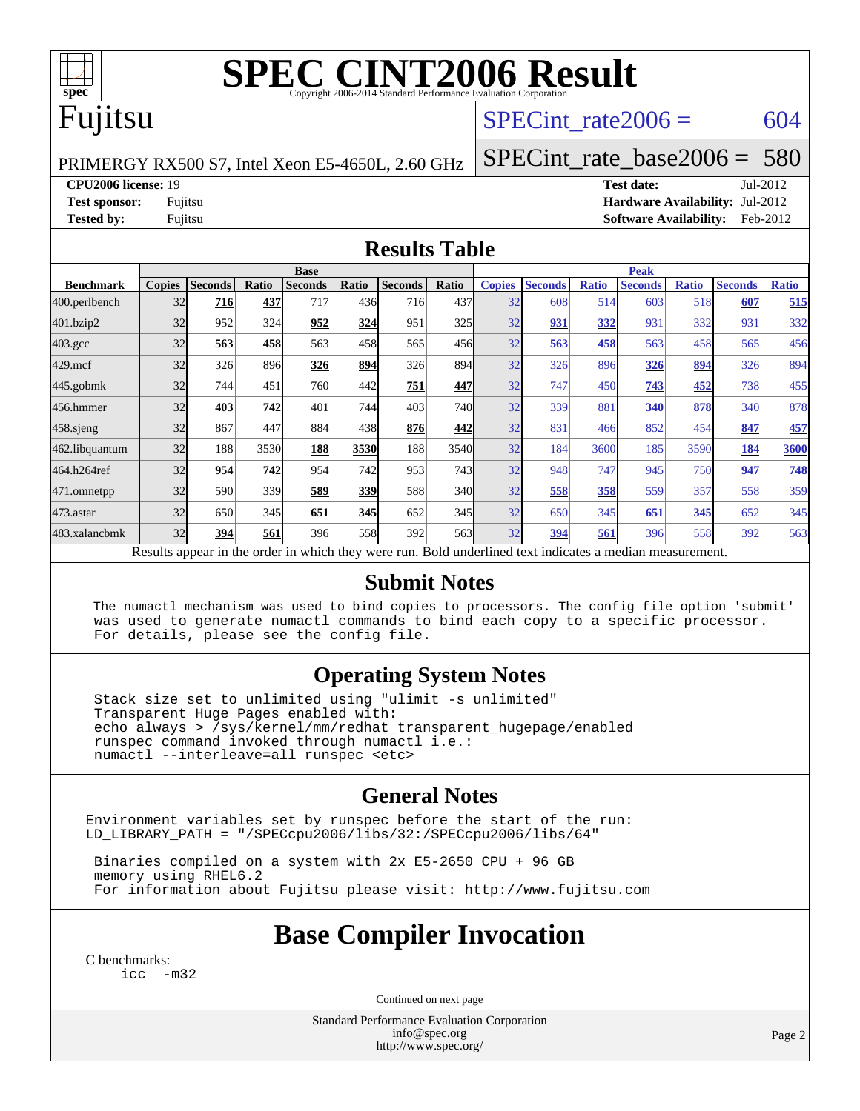

# **[SPEC CINT2006 Result](http://www.spec.org/auto/cpu2006/Docs/result-fields.html#SPECCINT2006Result)**

### Fujitsu

### SPECint rate $2006 = 604$

PRIMERGY RX500 S7, Intel Xeon E5-4650L, 2.60 GHz

[SPECint\\_rate\\_base2006 =](http://www.spec.org/auto/cpu2006/Docs/result-fields.html#SPECintratebase2006) 580

**[CPU2006 license:](http://www.spec.org/auto/cpu2006/Docs/result-fields.html#CPU2006license)** 19 **[Test date:](http://www.spec.org/auto/cpu2006/Docs/result-fields.html#Testdate)** Jul-2012 **[Test sponsor:](http://www.spec.org/auto/cpu2006/Docs/result-fields.html#Testsponsor)** Fujitsu **[Hardware Availability:](http://www.spec.org/auto/cpu2006/Docs/result-fields.html#HardwareAvailability)** Jul-2012 **[Tested by:](http://www.spec.org/auto/cpu2006/Docs/result-fields.html#Testedby)** Fujitsu **[Software Availability:](http://www.spec.org/auto/cpu2006/Docs/result-fields.html#SoftwareAvailability)** Feb-2012

#### **[Results Table](http://www.spec.org/auto/cpu2006/Docs/result-fields.html#ResultsTable)**

|                                                                                                          | <b>Base</b>   |                |       |                |            |                |              | <b>Peak</b>   |                |              |                |              |                |              |
|----------------------------------------------------------------------------------------------------------|---------------|----------------|-------|----------------|------------|----------------|--------------|---------------|----------------|--------------|----------------|--------------|----------------|--------------|
| <b>Benchmark</b>                                                                                         | <b>Copies</b> | <b>Seconds</b> | Ratio | <b>Seconds</b> | Ratio      | <b>Seconds</b> | Ratio        | <b>Copies</b> | <b>Seconds</b> | <b>Ratio</b> | <b>Seconds</b> | <b>Ratio</b> | <b>Seconds</b> | <b>Ratio</b> |
| 400.perlbench                                                                                            | 32            | 716            | 437   | 717            | 436        | 716            | 437          | 32            | 608            | 514          | 603            | 518          | 607            | 515          |
| 401.bzip2                                                                                                | 32            | 952            | 324   | 952            | 324        | 951            | 325          | 32            | 931            | 332          | 931            | 332          | 931            | 332          |
| $403.\mathrm{gcc}$                                                                                       | 32            | 563            | 458   | 563            | 458        | 565            | 456          | 32            | 563            | 458          | 563            | 458          | 565            | 456          |
| $429$ .mcf                                                                                               | 32            | 326            | 896   | 326            | 894        | 326            | 894          | 32            | 326            | 896          | 326            | 894          | 326            | 894          |
| $445$ .gobm $k$                                                                                          | 32            | 744            | 451   | 760            | 442        | 751            | 447          | 32            | 747            | 450          | 743            | 452          | 738            | 455          |
| 456.hmmer                                                                                                | 32            | 403            | 742   | 401            | 744        | 403            | 740 <b>1</b> | 32            | 339            | 881          | 340            | 878          | 340            | 878          |
| $458$ .sjeng                                                                                             | 32            | 867            | 447   | 884            | 438        | 876            | 442          | 32            | 831            | 466          | 852            | 454          | 847            | 457          |
| 462.libquantum                                                                                           | 32            | 188            | 3530  | 188            | 3530       | 188            | 3540         | 32            | 184            | 3600         | 185            | 3590         | 184            | 3600         |
| 464.h264ref                                                                                              | 32            | 954            | 742   | 954            | 742        | 953            | 743          | 32            | 948            | 747          | 945            | 750          | 947            | 748          |
| 471.omnetpp                                                                                              | 32            | 590            | 339   | 589            | 339        | 588            | 340l         | 32            | 558            | 358          | 559            | 357          | 558            | 359          |
| 473.astar                                                                                                | 32            | 650            | 345   | 651            | <b>345</b> | 652            | 345          | 32            | 650            | 345          | 651            | 345          | 652            | 345          |
| 483.xalancbmk                                                                                            | 32            | 394            | 561   | 396            | 558        | 392            | 563          | 32            | 394            | 561          | 396            | 558          | 392            | 563          |
| Results appear in the order in which they were run. Bold underlined text indicates a median measurement. |               |                |       |                |            |                |              |               |                |              |                |              |                |              |

#### **[Submit Notes](http://www.spec.org/auto/cpu2006/Docs/result-fields.html#SubmitNotes)**

 The numactl mechanism was used to bind copies to processors. The config file option 'submit' was used to generate numactl commands to bind each copy to a specific processor. For details, please see the config file.

### **[Operating System Notes](http://www.spec.org/auto/cpu2006/Docs/result-fields.html#OperatingSystemNotes)**

 Stack size set to unlimited using "ulimit -s unlimited" Transparent Huge Pages enabled with: echo always > /sys/kernel/mm/redhat\_transparent\_hugepage/enabled runspec command invoked through numactl i.e.: numactl --interleave=all runspec <etc>

### **[General Notes](http://www.spec.org/auto/cpu2006/Docs/result-fields.html#GeneralNotes)**

Environment variables set by runspec before the start of the run: LD\_LIBRARY\_PATH = "/SPECcpu2006/libs/32:/SPECcpu2006/libs/64"

 Binaries compiled on a system with 2x E5-2650 CPU + 96 GB memory using RHEL6.2 For information about Fujitsu please visit: <http://www.fujitsu.com>

### **[Base Compiler Invocation](http://www.spec.org/auto/cpu2006/Docs/result-fields.html#BaseCompilerInvocation)**

[C benchmarks](http://www.spec.org/auto/cpu2006/Docs/result-fields.html#Cbenchmarks): [icc -m32](http://www.spec.org/cpu2006/results/res2012q3/cpu2006-20120730-23916.flags.html#user_CCbase_intel_icc_5ff4a39e364c98233615fdd38438c6f2)

Continued on next page

Standard Performance Evaluation Corporation [info@spec.org](mailto:info@spec.org) <http://www.spec.org/>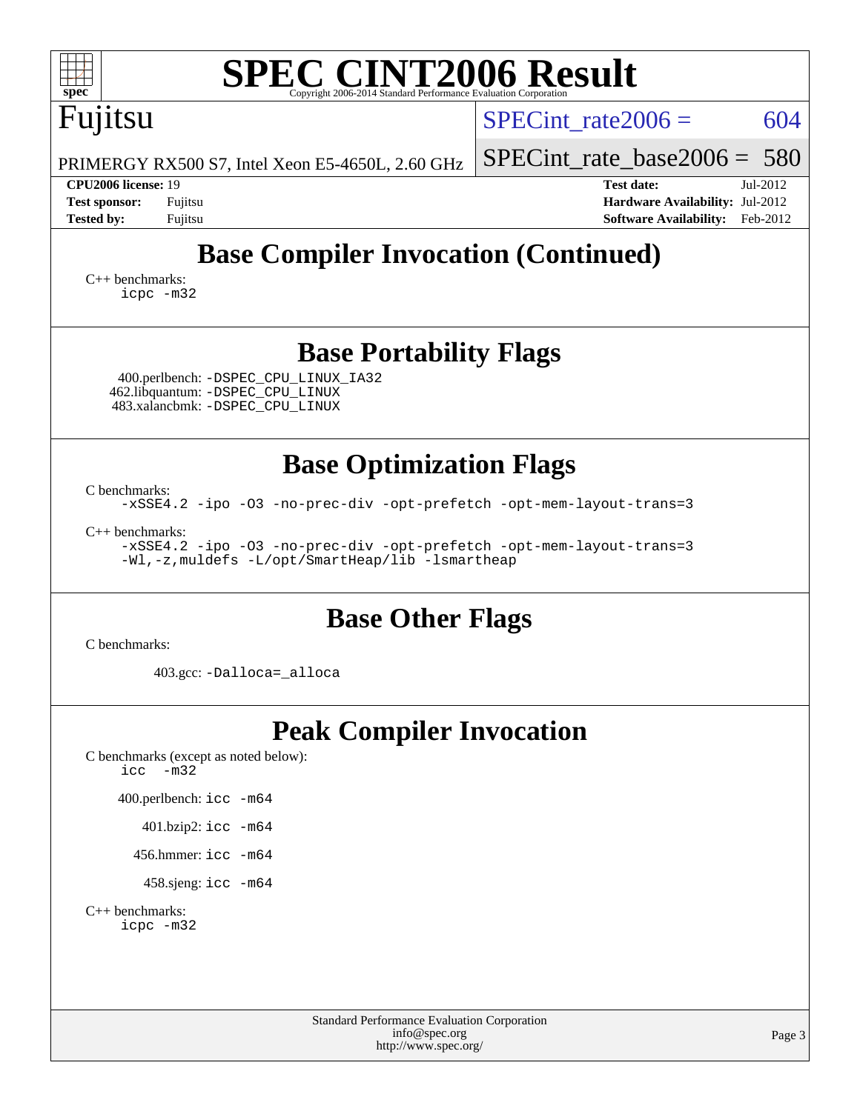| <b>SPEC CINT2006 Result</b><br>spec <sup>®</sup>                                                                                                 |                                                                                                               |  |  |  |  |  |
|--------------------------------------------------------------------------------------------------------------------------------------------------|---------------------------------------------------------------------------------------------------------------|--|--|--|--|--|
| Fujitsu                                                                                                                                          | 604<br>$SPECint rate 2006 =$                                                                                  |  |  |  |  |  |
| PRIMERGY RX500 S7, Intel Xeon E5-4650L, 2.60 GHz                                                                                                 | $SPECint_rate_base2006 = 580$                                                                                 |  |  |  |  |  |
| CPU2006 license: 19<br><b>Test sponsor:</b><br>Fujitsu<br><b>Tested by:</b><br>Fujitsu                                                           | <b>Test date:</b><br>Jul-2012<br>Hardware Availability: Jul-2012<br>Feb-2012<br><b>Software Availability:</b> |  |  |  |  |  |
| <b>Base Compiler Invocation (Continued)</b>                                                                                                      |                                                                                                               |  |  |  |  |  |
| $C_{++}$ benchmarks:<br>icpc -m32                                                                                                                |                                                                                                               |  |  |  |  |  |
| <b>Base Portability Flags</b>                                                                                                                    |                                                                                                               |  |  |  |  |  |
| 400.perlbench: -DSPEC_CPU_LINUX_IA32<br>462.libquantum: - DSPEC CPU LINUX<br>483.xalancbmk: -DSPEC_CPU_LINUX                                     |                                                                                                               |  |  |  |  |  |
| <b>Base Optimization Flags</b>                                                                                                                   |                                                                                                               |  |  |  |  |  |
| C benchmarks:<br>-xSSE4.2 -ipo -03 -no-prec-div -opt-prefetch -opt-mem-layout-trans=3                                                            |                                                                                                               |  |  |  |  |  |
| $C_{++}$ benchmarks:<br>-xSSE4.2 -ipo -03 -no-prec-div -opt-prefetch -opt-mem-layout-trans=3<br>-Wl,-z, muldefs -L/opt/SmartHeap/lib -lsmartheap |                                                                                                               |  |  |  |  |  |
| <b>Base Other Flags</b><br>C benchmarks:                                                                                                         |                                                                                                               |  |  |  |  |  |
| 403.gcc: -Dalloca=_alloca                                                                                                                        |                                                                                                               |  |  |  |  |  |
| <b>Peak Compiler Invocation</b><br>C benchmarks (except as noted below):<br>$-m32$<br>icc                                                        |                                                                                                               |  |  |  |  |  |
| 400.perlbench: icc -m64                                                                                                                          |                                                                                                               |  |  |  |  |  |
| 401.bzip2: icc -m64                                                                                                                              |                                                                                                               |  |  |  |  |  |
| 456.hmmer: $\text{icc}$ -m64<br>458.sjeng: icc -m64                                                                                              |                                                                                                               |  |  |  |  |  |
| $C_{++}$ benchmarks:<br>icpc -m32                                                                                                                |                                                                                                               |  |  |  |  |  |
| Standard Performance Evaluation Corporation<br>info@spec.org<br>http://www.spec.org/                                                             | Page 3                                                                                                        |  |  |  |  |  |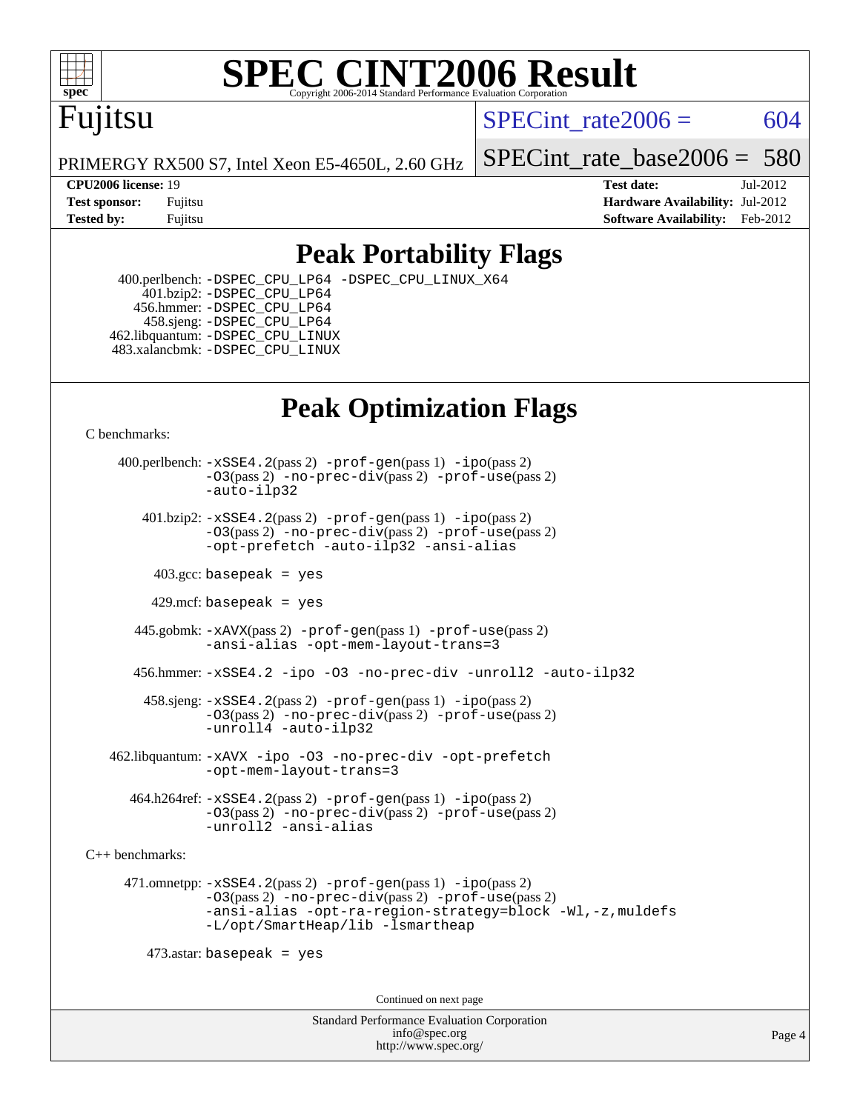

# **[SPEC CINT2006 Result](http://www.spec.org/auto/cpu2006/Docs/result-fields.html#SPECCINT2006Result)**

## Fujitsu

SPECint rate $2006 = 604$ 

PRIMERGY RX500 S7, Intel Xeon E5-4650L, 2.60 GHz

**[CPU2006 license:](http://www.spec.org/auto/cpu2006/Docs/result-fields.html#CPU2006license)** 19 **[Test date:](http://www.spec.org/auto/cpu2006/Docs/result-fields.html#Testdate)** Jul-2012

[SPECint\\_rate\\_base2006 =](http://www.spec.org/auto/cpu2006/Docs/result-fields.html#SPECintratebase2006) 580

**[Test sponsor:](http://www.spec.org/auto/cpu2006/Docs/result-fields.html#Testsponsor)** Fujitsu **[Hardware Availability:](http://www.spec.org/auto/cpu2006/Docs/result-fields.html#HardwareAvailability)** Jul-2012 **[Tested by:](http://www.spec.org/auto/cpu2006/Docs/result-fields.html#Testedby)** Fujitsu **Fugital Example 2012 [Software Availability:](http://www.spec.org/auto/cpu2006/Docs/result-fields.html#SoftwareAvailability)** Feb-2012

### **[Peak Portability Flags](http://www.spec.org/auto/cpu2006/Docs/result-fields.html#PeakPortabilityFlags)**

 400.perlbench: [-DSPEC\\_CPU\\_LP64](http://www.spec.org/cpu2006/results/res2012q3/cpu2006-20120730-23916.flags.html#b400.perlbench_peakCPORTABILITY_DSPEC_CPU_LP64) [-DSPEC\\_CPU\\_LINUX\\_X64](http://www.spec.org/cpu2006/results/res2012q3/cpu2006-20120730-23916.flags.html#b400.perlbench_peakCPORTABILITY_DSPEC_CPU_LINUX_X64) 401.bzip2: [-DSPEC\\_CPU\\_LP64](http://www.spec.org/cpu2006/results/res2012q3/cpu2006-20120730-23916.flags.html#suite_peakCPORTABILITY401_bzip2_DSPEC_CPU_LP64) 456.hmmer: [-DSPEC\\_CPU\\_LP64](http://www.spec.org/cpu2006/results/res2012q3/cpu2006-20120730-23916.flags.html#suite_peakCPORTABILITY456_hmmer_DSPEC_CPU_LP64) 458.sjeng: [-DSPEC\\_CPU\\_LP64](http://www.spec.org/cpu2006/results/res2012q3/cpu2006-20120730-23916.flags.html#suite_peakCPORTABILITY458_sjeng_DSPEC_CPU_LP64) 462.libquantum: [-DSPEC\\_CPU\\_LINUX](http://www.spec.org/cpu2006/results/res2012q3/cpu2006-20120730-23916.flags.html#b462.libquantum_peakCPORTABILITY_DSPEC_CPU_LINUX) 483.xalancbmk: [-DSPEC\\_CPU\\_LINUX](http://www.spec.org/cpu2006/results/res2012q3/cpu2006-20120730-23916.flags.html#b483.xalancbmk_peakCXXPORTABILITY_DSPEC_CPU_LINUX)

### **[Peak Optimization Flags](http://www.spec.org/auto/cpu2006/Docs/result-fields.html#PeakOptimizationFlags)**

[C benchmarks](http://www.spec.org/auto/cpu2006/Docs/result-fields.html#Cbenchmarks):

 400.perlbench: [-xSSE4.2](http://www.spec.org/cpu2006/results/res2012q3/cpu2006-20120730-23916.flags.html#user_peakPASS2_CFLAGSPASS2_LDCFLAGS400_perlbench_f-xSSE42_f91528193cf0b216347adb8b939d4107)(pass 2) [-prof-gen](http://www.spec.org/cpu2006/results/res2012q3/cpu2006-20120730-23916.flags.html#user_peakPASS1_CFLAGSPASS1_LDCFLAGS400_perlbench_prof_gen_e43856698f6ca7b7e442dfd80e94a8fc)(pass 1) [-ipo](http://www.spec.org/cpu2006/results/res2012q3/cpu2006-20120730-23916.flags.html#user_peakPASS2_CFLAGSPASS2_LDCFLAGS400_perlbench_f-ipo)(pass 2) [-O3](http://www.spec.org/cpu2006/results/res2012q3/cpu2006-20120730-23916.flags.html#user_peakPASS2_CFLAGSPASS2_LDCFLAGS400_perlbench_f-O3)(pass 2) [-no-prec-div](http://www.spec.org/cpu2006/results/res2012q3/cpu2006-20120730-23916.flags.html#user_peakPASS2_CFLAGSPASS2_LDCFLAGS400_perlbench_f-no-prec-div)(pass 2) [-prof-use](http://www.spec.org/cpu2006/results/res2012q3/cpu2006-20120730-23916.flags.html#user_peakPASS2_CFLAGSPASS2_LDCFLAGS400_perlbench_prof_use_bccf7792157ff70d64e32fe3e1250b55)(pass 2) [-auto-ilp32](http://www.spec.org/cpu2006/results/res2012q3/cpu2006-20120730-23916.flags.html#user_peakCOPTIMIZE400_perlbench_f-auto-ilp32) 401.bzip2: [-xSSE4.2](http://www.spec.org/cpu2006/results/res2012q3/cpu2006-20120730-23916.flags.html#user_peakPASS2_CFLAGSPASS2_LDCFLAGS401_bzip2_f-xSSE42_f91528193cf0b216347adb8b939d4107)(pass 2) [-prof-gen](http://www.spec.org/cpu2006/results/res2012q3/cpu2006-20120730-23916.flags.html#user_peakPASS1_CFLAGSPASS1_LDCFLAGS401_bzip2_prof_gen_e43856698f6ca7b7e442dfd80e94a8fc)(pass 1) [-ipo](http://www.spec.org/cpu2006/results/res2012q3/cpu2006-20120730-23916.flags.html#user_peakPASS2_CFLAGSPASS2_LDCFLAGS401_bzip2_f-ipo)(pass 2) [-O3](http://www.spec.org/cpu2006/results/res2012q3/cpu2006-20120730-23916.flags.html#user_peakPASS2_CFLAGSPASS2_LDCFLAGS401_bzip2_f-O3)(pass 2) [-no-prec-div](http://www.spec.org/cpu2006/results/res2012q3/cpu2006-20120730-23916.flags.html#user_peakPASS2_CFLAGSPASS2_LDCFLAGS401_bzip2_f-no-prec-div)(pass 2) [-prof-use](http://www.spec.org/cpu2006/results/res2012q3/cpu2006-20120730-23916.flags.html#user_peakPASS2_CFLAGSPASS2_LDCFLAGS401_bzip2_prof_use_bccf7792157ff70d64e32fe3e1250b55)(pass 2) [-opt-prefetch](http://www.spec.org/cpu2006/results/res2012q3/cpu2006-20120730-23916.flags.html#user_peakCOPTIMIZE401_bzip2_f-opt-prefetch) [-auto-ilp32](http://www.spec.org/cpu2006/results/res2012q3/cpu2006-20120730-23916.flags.html#user_peakCOPTIMIZE401_bzip2_f-auto-ilp32) [-ansi-alias](http://www.spec.org/cpu2006/results/res2012q3/cpu2006-20120730-23916.flags.html#user_peakCOPTIMIZE401_bzip2_f-ansi-alias)  $403.\text{sec: basepeak}$  = yes 429.mcf: basepeak = yes 445.gobmk: [-xAVX](http://www.spec.org/cpu2006/results/res2012q3/cpu2006-20120730-23916.flags.html#user_peakPASS2_CFLAGSPASS2_LDCFLAGS445_gobmk_f-xAVX)(pass 2) [-prof-gen](http://www.spec.org/cpu2006/results/res2012q3/cpu2006-20120730-23916.flags.html#user_peakPASS1_CFLAGSPASS1_LDCFLAGS445_gobmk_prof_gen_e43856698f6ca7b7e442dfd80e94a8fc)(pass 1) [-prof-use](http://www.spec.org/cpu2006/results/res2012q3/cpu2006-20120730-23916.flags.html#user_peakPASS2_CFLAGSPASS2_LDCFLAGS445_gobmk_prof_use_bccf7792157ff70d64e32fe3e1250b55)(pass 2) [-ansi-alias](http://www.spec.org/cpu2006/results/res2012q3/cpu2006-20120730-23916.flags.html#user_peakCOPTIMIZE445_gobmk_f-ansi-alias) [-opt-mem-layout-trans=3](http://www.spec.org/cpu2006/results/res2012q3/cpu2006-20120730-23916.flags.html#user_peakCOPTIMIZE445_gobmk_f-opt-mem-layout-trans_a7b82ad4bd7abf52556d4961a2ae94d5)

456.hmmer: [-xSSE4.2](http://www.spec.org/cpu2006/results/res2012q3/cpu2006-20120730-23916.flags.html#user_peakCOPTIMIZE456_hmmer_f-xSSE42_f91528193cf0b216347adb8b939d4107) [-ipo](http://www.spec.org/cpu2006/results/res2012q3/cpu2006-20120730-23916.flags.html#user_peakCOPTIMIZE456_hmmer_f-ipo) [-O3](http://www.spec.org/cpu2006/results/res2012q3/cpu2006-20120730-23916.flags.html#user_peakCOPTIMIZE456_hmmer_f-O3) [-no-prec-div](http://www.spec.org/cpu2006/results/res2012q3/cpu2006-20120730-23916.flags.html#user_peakCOPTIMIZE456_hmmer_f-no-prec-div) [-unroll2](http://www.spec.org/cpu2006/results/res2012q3/cpu2006-20120730-23916.flags.html#user_peakCOPTIMIZE456_hmmer_f-unroll_784dae83bebfb236979b41d2422d7ec2) [-auto-ilp32](http://www.spec.org/cpu2006/results/res2012q3/cpu2006-20120730-23916.flags.html#user_peakCOPTIMIZE456_hmmer_f-auto-ilp32)

 458.sjeng: [-xSSE4.2](http://www.spec.org/cpu2006/results/res2012q3/cpu2006-20120730-23916.flags.html#user_peakPASS2_CFLAGSPASS2_LDCFLAGS458_sjeng_f-xSSE42_f91528193cf0b216347adb8b939d4107)(pass 2) [-prof-gen](http://www.spec.org/cpu2006/results/res2012q3/cpu2006-20120730-23916.flags.html#user_peakPASS1_CFLAGSPASS1_LDCFLAGS458_sjeng_prof_gen_e43856698f6ca7b7e442dfd80e94a8fc)(pass 1) [-ipo](http://www.spec.org/cpu2006/results/res2012q3/cpu2006-20120730-23916.flags.html#user_peakPASS2_CFLAGSPASS2_LDCFLAGS458_sjeng_f-ipo)(pass 2) [-O3](http://www.spec.org/cpu2006/results/res2012q3/cpu2006-20120730-23916.flags.html#user_peakPASS2_CFLAGSPASS2_LDCFLAGS458_sjeng_f-O3)(pass 2) [-no-prec-div](http://www.spec.org/cpu2006/results/res2012q3/cpu2006-20120730-23916.flags.html#user_peakPASS2_CFLAGSPASS2_LDCFLAGS458_sjeng_f-no-prec-div)(pass 2) [-prof-use](http://www.spec.org/cpu2006/results/res2012q3/cpu2006-20120730-23916.flags.html#user_peakPASS2_CFLAGSPASS2_LDCFLAGS458_sjeng_prof_use_bccf7792157ff70d64e32fe3e1250b55)(pass 2) [-unroll4](http://www.spec.org/cpu2006/results/res2012q3/cpu2006-20120730-23916.flags.html#user_peakCOPTIMIZE458_sjeng_f-unroll_4e5e4ed65b7fd20bdcd365bec371b81f) [-auto-ilp32](http://www.spec.org/cpu2006/results/res2012q3/cpu2006-20120730-23916.flags.html#user_peakCOPTIMIZE458_sjeng_f-auto-ilp32)

 462.libquantum: [-xAVX](http://www.spec.org/cpu2006/results/res2012q3/cpu2006-20120730-23916.flags.html#user_peakCOPTIMIZE462_libquantum_f-xAVX) [-ipo](http://www.spec.org/cpu2006/results/res2012q3/cpu2006-20120730-23916.flags.html#user_peakCOPTIMIZE462_libquantum_f-ipo) [-O3](http://www.spec.org/cpu2006/results/res2012q3/cpu2006-20120730-23916.flags.html#user_peakCOPTIMIZE462_libquantum_f-O3) [-no-prec-div](http://www.spec.org/cpu2006/results/res2012q3/cpu2006-20120730-23916.flags.html#user_peakCOPTIMIZE462_libquantum_f-no-prec-div) [-opt-prefetch](http://www.spec.org/cpu2006/results/res2012q3/cpu2006-20120730-23916.flags.html#user_peakCOPTIMIZE462_libquantum_f-opt-prefetch) [-opt-mem-layout-trans=3](http://www.spec.org/cpu2006/results/res2012q3/cpu2006-20120730-23916.flags.html#user_peakCOPTIMIZE462_libquantum_f-opt-mem-layout-trans_a7b82ad4bd7abf52556d4961a2ae94d5)

 $464.h264$ ref:  $-xSSE4$ .  $2(pass 2)$  [-prof-gen](http://www.spec.org/cpu2006/results/res2012q3/cpu2006-20120730-23916.flags.html#user_peakPASS1_CFLAGSPASS1_LDCFLAGS464_h264ref_prof_gen_e43856698f6ca7b7e442dfd80e94a8fc) $(pass 1)$  [-ipo](http://www.spec.org/cpu2006/results/res2012q3/cpu2006-20120730-23916.flags.html#user_peakPASS2_CFLAGSPASS2_LDCFLAGS464_h264ref_f-ipo) $(pass 2)$ [-O3](http://www.spec.org/cpu2006/results/res2012q3/cpu2006-20120730-23916.flags.html#user_peakPASS2_CFLAGSPASS2_LDCFLAGS464_h264ref_f-O3)(pass 2) [-no-prec-div](http://www.spec.org/cpu2006/results/res2012q3/cpu2006-20120730-23916.flags.html#user_peakPASS2_CFLAGSPASS2_LDCFLAGS464_h264ref_f-no-prec-div)(pass 2) [-prof-use](http://www.spec.org/cpu2006/results/res2012q3/cpu2006-20120730-23916.flags.html#user_peakPASS2_CFLAGSPASS2_LDCFLAGS464_h264ref_prof_use_bccf7792157ff70d64e32fe3e1250b55)(pass 2) [-unroll2](http://www.spec.org/cpu2006/results/res2012q3/cpu2006-20120730-23916.flags.html#user_peakCOPTIMIZE464_h264ref_f-unroll_784dae83bebfb236979b41d2422d7ec2) [-ansi-alias](http://www.spec.org/cpu2006/results/res2012q3/cpu2006-20120730-23916.flags.html#user_peakCOPTIMIZE464_h264ref_f-ansi-alias)

[C++ benchmarks:](http://www.spec.org/auto/cpu2006/Docs/result-fields.html#CXXbenchmarks)

 471.omnetpp: [-xSSE4.2](http://www.spec.org/cpu2006/results/res2012q3/cpu2006-20120730-23916.flags.html#user_peakPASS2_CXXFLAGSPASS2_LDCXXFLAGS471_omnetpp_f-xSSE42_f91528193cf0b216347adb8b939d4107)(pass 2) [-prof-gen](http://www.spec.org/cpu2006/results/res2012q3/cpu2006-20120730-23916.flags.html#user_peakPASS1_CXXFLAGSPASS1_LDCXXFLAGS471_omnetpp_prof_gen_e43856698f6ca7b7e442dfd80e94a8fc)(pass 1) [-ipo](http://www.spec.org/cpu2006/results/res2012q3/cpu2006-20120730-23916.flags.html#user_peakPASS2_CXXFLAGSPASS2_LDCXXFLAGS471_omnetpp_f-ipo)(pass 2) [-O3](http://www.spec.org/cpu2006/results/res2012q3/cpu2006-20120730-23916.flags.html#user_peakPASS2_CXXFLAGSPASS2_LDCXXFLAGS471_omnetpp_f-O3)(pass 2) [-no-prec-div](http://www.spec.org/cpu2006/results/res2012q3/cpu2006-20120730-23916.flags.html#user_peakPASS2_CXXFLAGSPASS2_LDCXXFLAGS471_omnetpp_f-no-prec-div)(pass 2) [-prof-use](http://www.spec.org/cpu2006/results/res2012q3/cpu2006-20120730-23916.flags.html#user_peakPASS2_CXXFLAGSPASS2_LDCXXFLAGS471_omnetpp_prof_use_bccf7792157ff70d64e32fe3e1250b55)(pass 2) [-ansi-alias](http://www.spec.org/cpu2006/results/res2012q3/cpu2006-20120730-23916.flags.html#user_peakCXXOPTIMIZE471_omnetpp_f-ansi-alias) [-opt-ra-region-strategy=block](http://www.spec.org/cpu2006/results/res2012q3/cpu2006-20120730-23916.flags.html#user_peakCXXOPTIMIZE471_omnetpp_f-opt-ra-region-strategy_a0a37c372d03933b2a18d4af463c1f69) [-Wl,-z,muldefs](http://www.spec.org/cpu2006/results/res2012q3/cpu2006-20120730-23916.flags.html#user_peakEXTRA_LDFLAGS471_omnetpp_link_force_multiple1_74079c344b956b9658436fd1b6dd3a8a) [-L/opt/SmartHeap/lib -lsmartheap](http://www.spec.org/cpu2006/results/res2012q3/cpu2006-20120730-23916.flags.html#user_peakEXTRA_LIBS471_omnetpp_SmartHeap_1046f488ce4b4d9d2689b01742ccb999)

 $473$ .astar: basepeak = yes

Continued on next page

Standard Performance Evaluation Corporation [info@spec.org](mailto:info@spec.org) <http://www.spec.org/>